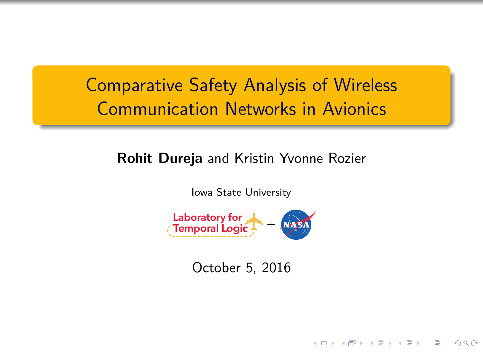# Comparative Safety Analysis of Wireless Communication Networks in Avionics

## **Rohit Dureja** and Kristin Yvonne Rozier

Iowa State University



October 5, 2016

K ロ ▶ K 레 ▶ K 코 ▶ K 코 ▶ | 코 | 1990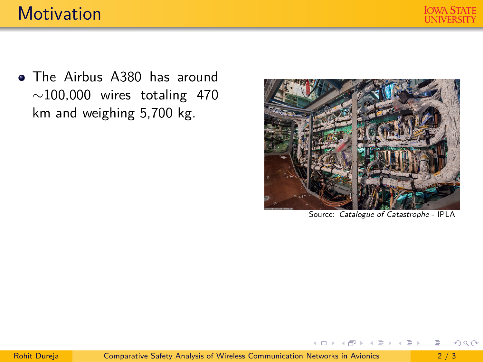

• The Airbus A380 has around  $\sim$ 100,000 wires totaling 470 km and weighing 5,700 kg.



Source: Catalogue of Catastrophe - IPLA

**←ロト → 何 ト → ヨ ト → ヨ ト** 

 $2Q$ 

E.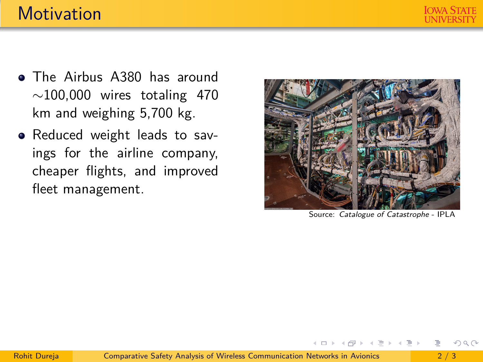

- The Airbus A380 has around  $\sim$ 100,000 wires totaling 470 km and weighing 5,700 kg.
- Reduced weight leads to savings for the airline company, cheaper flights, and improved fleet management.



Source: Catalogue of Catastrophe - IPLA

イロト イ何 トイヨ トイヨ トー

э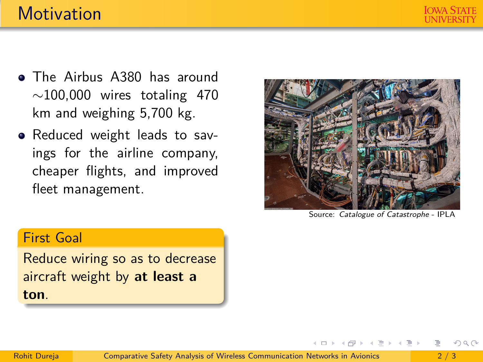- The Airbus A380 has around  $\sim$ 100,000 wires totaling 470 km and weighing 5,700 kg.
- Reduced weight leads to savings for the airline company, cheaper flights, and improved fleet management.



Source: Catalogue of Catastrophe - IPLA

 $\left\{ \left. \left. \left. \left. \left. \left( \left. \left. \left. \left. \left. \left. \left. \left. \left. \left. \right. \right. \right. \right. \right. \right. \right. \right. \right. \left. \left. \left. \left. \right. \right. \right. \right. \right. \left. \left. \left. \left. \left. \left. \left. \left. \left. \right. \right. \right. \right. \right. \right. \right. \left. \left. \left. \left. \left. \left. \left. \left. \left. \right. \right. \right. \right. \right. \right. \right. \left. \left. \left. \left. \left. \left.$ 

#### First Goal

Reduce wiring so as to decrease aircraft weight by **at least a ton**.

 $2Q$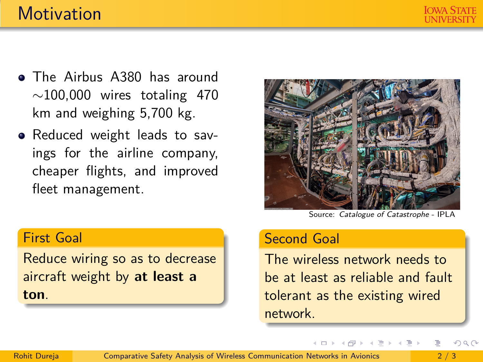- The Airbus A380 has around  $\sim$ 100,000 wires totaling 470 km and weighing 5,700 kg.
- Reduced weight leads to savings for the airline company, cheaper flights, and improved fleet management.

Source: Catalogue of Catastrophe - IPLA

#### Second Goal

The wireless network needs to be at least as reliable and fault tolerant as the existing wired network.

←ロト ←何ト ←ヨト ←ヨト

### First Goal

Reduce wiring so as to decrease aircraft weight by **at least a ton**.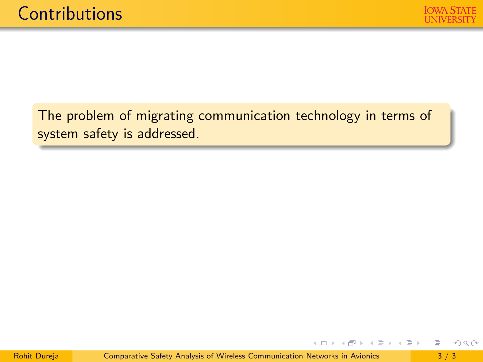The problem of migrating communication technology in terms of system safety is addressed.

画

 $2Q$ 

**←ロト → 何 ト → ヨ ト → ヨ ト**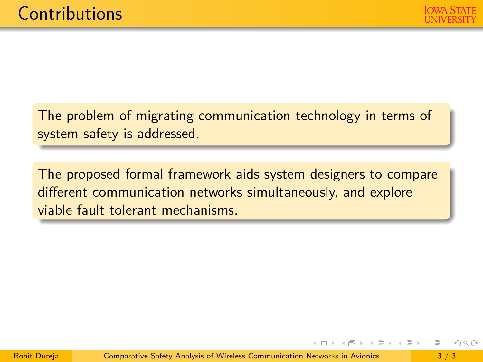The problem of migrating communication technology in terms of system safety is addressed.

The proposed formal framework aids system designers to compare different communication networks simultaneously, and explore viable fault tolerant mechanisms.

÷.

イタト イミト イミト